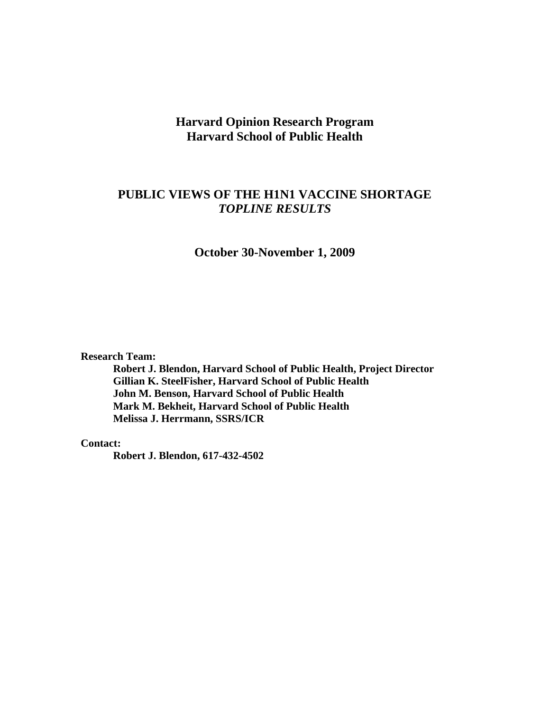## **Harvard Opinion Research Program Harvard School of Public Health**

## **PUBLIC VIEWS OF THE H1N1 VACCINE SHORTAGE**  *TOPLINE RESULTS*

**October 30-November 1, 2009** 

**Research Team:** 

**Robert J. Blendon, Harvard School of Public Health, Project Director Gillian K. SteelFisher, Harvard School of Public Health John M. Benson, Harvard School of Public Health Mark M. Bekheit, Harvard School of Public Health Melissa J. Herrmann, SSRS/ICR** 

**Contact:** 

**Robert J. Blendon, 617-432-4502**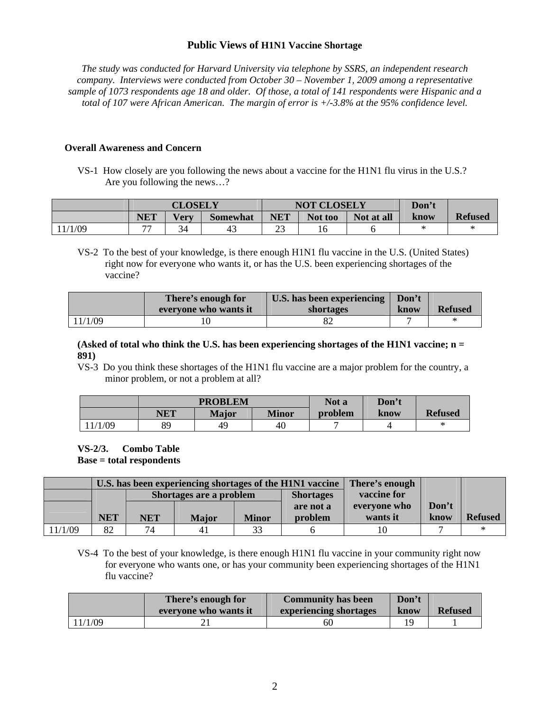#### **Public Views of H1N1 Vaccine Shortage**

*The study was conducted for Harvard University via telephone by SSRS, an independent research company. Interviews were conducted from October 30 – November 1, 2009 among a representative sample of 1073 respondents age 18 and older. Of those, a total of 141 respondents were Hispanic and a total of 107 were African American. The margin of error is +/-3.8% at the 95% confidence level.* 

#### **Overall Awareness and Concern**

 VS-1 How closely are you following the news about a vaccine for the H1N1 flu virus in the U.S.? Are you following the news…?

|         |                          | <b>CLOSELY</b> |          |              | <b>NOT CLOSELY</b> | Don't      |      |                |
|---------|--------------------------|----------------|----------|--------------|--------------------|------------|------|----------------|
|         | NET                      | <b>Very</b>    | Somewhat | <b>NET</b>   | Not too            | Not at all | know | <b>Refused</b> |
| 11/1/09 | $\overline{\phantom{a}}$ | 34             | 43       | $\cap$<br>رے |                    |            |      |                |

 VS-2 To the best of your knowledge, is there enough H1N1 flu vaccine in the U.S. (United States) right now for everyone who wants it, or has the U.S. been experiencing shortages of the vaccine?

|         | There's enough for    | U.S. has been experiencing | Don't |                |
|---------|-----------------------|----------------------------|-------|----------------|
|         | everyone who wants it | shortages                  | know  | <b>Refused</b> |
| 11/1/09 |                       |                            |       | *              |

**(Asked of total who think the U.S. has been experiencing shortages of the H1N1 vaccine; n = 891)** 

 VS-3 Do you think these shortages of the H1N1 flu vaccine are a major problem for the country, a minor problem, or not a problem at all?

|     |            | <b>PROBLEM</b> |       | Not a   | Don't |                |
|-----|------------|----------------|-------|---------|-------|----------------|
|     | <b>NET</b> | Major          | Minor | problem | know  | <b>Refused</b> |
| /09 | 89         | 49             | 40    |         |       | ⋇              |

# **VS-2/3. Combo Table**

 **Base = total respondents** 

|         |            |            |                         |              | U.S. has been experiencing shortages of the H1N1 vaccine | There's enough |       |                |
|---------|------------|------------|-------------------------|--------------|----------------------------------------------------------|----------------|-------|----------------|
|         |            |            | Shortages are a problem |              | <b>Shortages</b>                                         | vaccine for    |       |                |
|         |            |            |                         |              | are not a                                                | everyone who   | Don't |                |
|         | <b>NET</b> | <b>NET</b> | <b>Major</b>            | <b>Minor</b> | problem                                                  | wants it       | know  | <b>Refused</b> |
| 11/1/09 | 82         | 74         | 41                      | 33           |                                                          |                |       |                |

 VS-4 To the best of your knowledge, is there enough H1N1 flu vaccine in your community right now for everyone who wants one, or has your community been experiencing shortages of the H1N1 flu vaccine?

|         | There's enough for<br>everyone who wants it | <b>Community has been</b><br>experiencing shortages | Don't<br>know | <b>Refused</b> |
|---------|---------------------------------------------|-----------------------------------------------------|---------------|----------------|
| 11/1/09 |                                             | 60                                                  |               |                |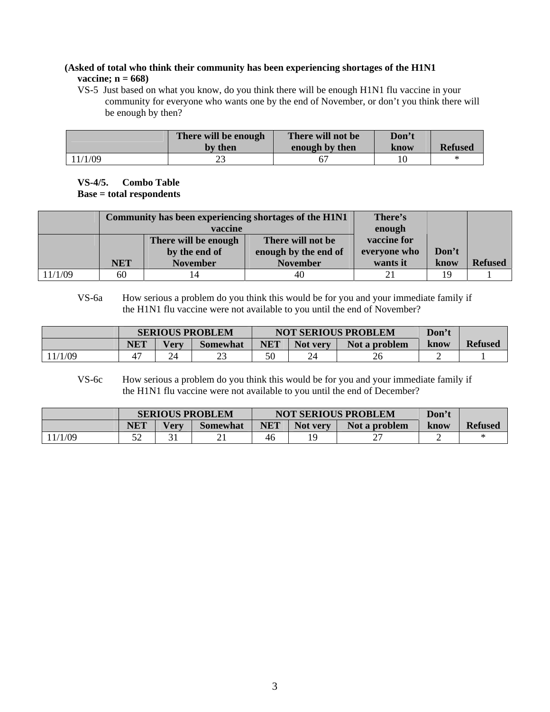### **(Asked of total who think their community has been experiencing shortages of the H1N1 vaccine; n = 668)**

 VS-5 Just based on what you know, do you think there will be enough H1N1 flu vaccine in your community for everyone who wants one by the end of November, or don't you think there will be enough by then?

|         | There will be enough<br>by then | There will not be<br>enough by then | Don't<br>know | <b>Refused</b> |
|---------|---------------------------------|-------------------------------------|---------------|----------------|
| 11/1/09 |                                 |                                     |               |                |

**VS-4/5. Combo Table Base = total respondents** 

|         |            |                      | Community has been experiencing shortages of the H1N1 | There's      |       |                |
|---------|------------|----------------------|-------------------------------------------------------|--------------|-------|----------------|
|         |            | vaccine              |                                                       | enough       |       |                |
|         |            | There will be enough | There will not be                                     | vaccine for  |       |                |
|         |            | by the end of        | enough by the end of                                  | everyone who | Don't |                |
|         | <b>NET</b> | <b>November</b>      | <b>November</b>                                       | wants it     | know  | <b>Refused</b> |
| 11/1/09 | 60         |                      | 40                                                    |              | 19    |                |

 VS-6a How serious a problem do you think this would be for you and your immediate family if the H1N1 flu vaccine were not available to you until the end of November?

|        | <b>SERIOUS PROBLEM</b> |               |                 |            | <b>NOT SERIOUS PROBLEM</b> | Don't         |      |                |
|--------|------------------------|---------------|-----------------|------------|----------------------------|---------------|------|----------------|
|        | <b>NET</b>             | <b>Very</b>   | <b>Somewhat</b> | <b>NET</b> | Not very                   | Not a problem | know | <b>Refused</b> |
| 1/1/09 |                        | $2^{\Lambda}$ | ت               | 50         |                            | 26            | ∸    |                |

 VS-6c How serious a problem do you think this would be for you and your immediate family if the H1N1 flu vaccine were not available to you until the end of December?

|       |            |             | <b>SERIOUS PROBLEM</b> |     | <b>NOT SERIOUS PROBLEM</b> | Don't         |      |                |
|-------|------------|-------------|------------------------|-----|----------------------------|---------------|------|----------------|
|       | <b>NET</b> | <b>Very</b> | <b>Somewhat</b>        | NET | <b>Not very</b>            | Not a problem | know | <b>Refused</b> |
| ′1/09 | ے ر        |             | <u>_</u>               | 46  | 10                         |               |      |                |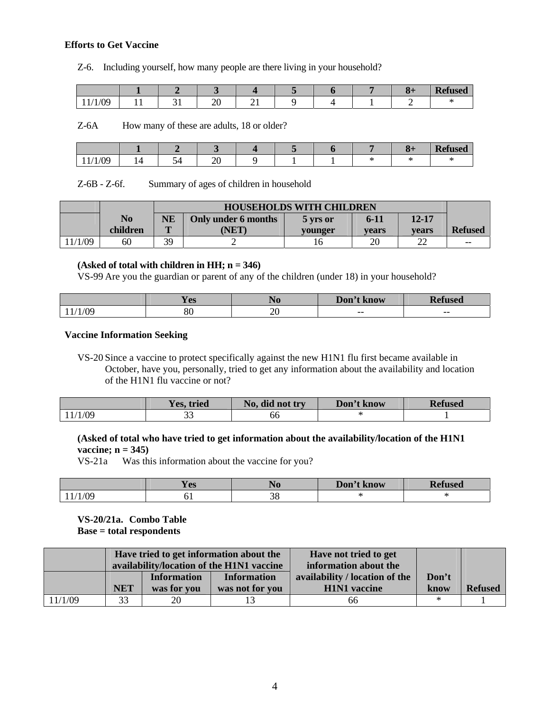#### **Efforts to Get Vaccine**

Z-6. Including yourself, how many people are there living in your household?

|                              |     |              |    |  |  | <b>Rel</b><br>efused |
|------------------------------|-----|--------------|----|--|--|----------------------|
| $/ \Omega$<br>100<br>$\pm$ 1 | . . | ററ<br>$\sim$ | -- |  |  |                      |

Z-6A How many of these are adults, 18 or older?

|                                |        |     |               |  |  | D.<br><b>Refused</b> |
|--------------------------------|--------|-----|---------------|--|--|----------------------|
| $\Omega$<br>ı<br>ັ<br>. .<br>. | .<br>- | - - | ឹ<br>$\Delta$ |  |  |                      |

Z-6B - Z-6f. Summary of ages of children in household

|         |          |              | <b>HOUSEHOLDS WITH CHILDREN</b> |          |          |           |                |  |  |  |  |
|---------|----------|--------------|---------------------------------|----------|----------|-----------|----------------|--|--|--|--|
|         | No       | <b>NE</b>    | Only under 6 months             | 5 vrs or | $6 - 11$ | $12 - 17$ |                |  |  |  |  |
|         | children | $\mathbf{m}$ | <b>NET</b>                      | vounger  | vears    | vears     | <b>Refused</b> |  |  |  |  |
| 11/1/09 | 60       | 39           | ∽                               |          | 20       | $\sim$    | $ -$           |  |  |  |  |

#### **(Asked of total with children in HH; n = 346)**

VS-99 Are you the guardian or parent of any of the children (under 18) in your household?

|     | <b>The State of State</b><br>V na<br>TC2 | 1 I O  | Don't<br>$\cdot$ know | D.<br>COO<br>- 11 |
|-----|------------------------------------------|--------|-----------------------|-------------------|
| ،∩۱ | oσ                                       | ٦C     |                       |                   |
|     | οu                                       | $\sim$ | $- -$                 | $- -$             |

#### **Vaccine Information Seeking**

 VS-20 Since a vaccine to protect specifically against the new H1N1 flu first became available in October, have you, personally, tried to get any information about the availability and location of the H1N1 flu vaccine or not?

|         | Yes, tried | No, did not try | Don't know | <b>Refused</b> |
|---------|------------|-----------------|------------|----------------|
| 11/1/09 | ົ<br>ັ     | ხხ              |            |                |

#### **(Asked of total who have tried to get information about the availability/location of the H1N1 vaccine; n = 345)**

VS-21a Was this information about the vaccine for you?

|                              | - 7<br>/ ሰር<br>1 L.J | LVU | Don't<br>t know | $\mathbf{D} \cdot \mathbf{c}$<br>$T_{L} \cap \mathcal{L}$<br>tuseu |
|------------------------------|----------------------|-----|-----------------|--------------------------------------------------------------------|
| $\sqrt{C}$<br>$^{\prime}$ V. | ິ                    | JU  |                 |                                                                    |

**VS-20/21a. Combo Table Base = total respondents** 

|         |            |                                   | Have tried to get information about the<br>availability/location of the H1N1 vaccine | Have not tried to get<br>information about the        |               |                |
|---------|------------|-----------------------------------|--------------------------------------------------------------------------------------|-------------------------------------------------------|---------------|----------------|
|         | <b>NET</b> | <b>Information</b><br>was for you | <b>Information</b><br>was not for you                                                | availability / location of the<br><b>H1N1</b> vaccine | Don't<br>know | <b>Refused</b> |
| 11/1/09 | 33         | 20                                |                                                                                      | 66                                                    | $\ast$        |                |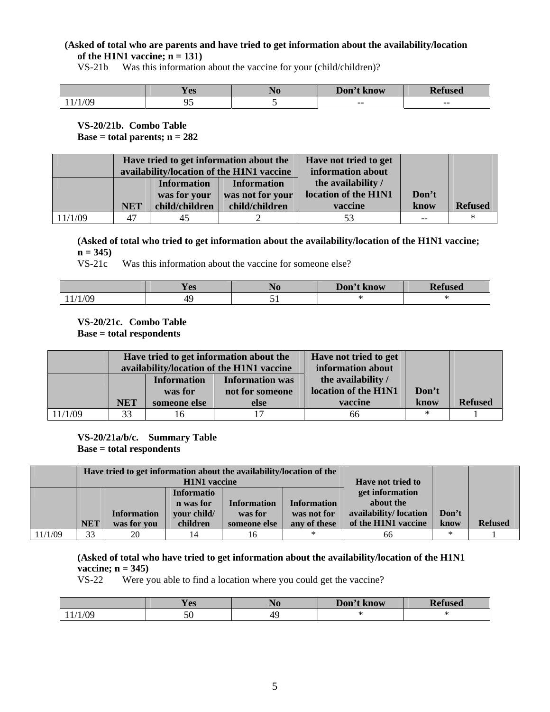#### **(Asked of total who are parents and have tried to get information about the availability/location of the H1N1 vaccine; n = 131)**

VS-21b Was this information about the vaccine for your (child/children)?

|               | ∕ ∩െ<br>$\bf{1}$ LD | Don't<br>know | т.<br><b>TRAC</b><br>75CL |
|---------------|---------------------|---------------|---------------------------|
| /ሰር<br>11/102 | .<br>.              | $- -$         | --                        |

**VS-20/21b. Combo Table Base = total parents; n = 282** 

|         |            |                                    | Have tried to get information about the<br>availability/location of the H1N1 vaccine | Have not tried to get<br>information about |       |                |
|---------|------------|------------------------------------|--------------------------------------------------------------------------------------|--------------------------------------------|-------|----------------|
|         |            | <b>Information</b><br>was for your | <b>Information</b><br>was not for your                                               | the availability /<br>location of the H1N1 | Don't |                |
|         | <b>NET</b> | child/children                     | child/children                                                                       | vaccine                                    | know  | <b>Refused</b> |
| 11/1/09 | 47         | 45                                 |                                                                                      | 53                                         | $-$   |                |

**(Asked of total who tried to get information about the availability/location of the H1N1 vaccine;**   $n = 345$ )

VS-21c Was this information about the vaccine for someone else?

|                 | <b>Y</b> es       | Don't<br>: know | D<br>useo |
|-----------------|-------------------|-----------------|-----------|
| $\sqrt{2}$<br>n | r<br>$\mathbf{r}$ |                 |           |

## **VS-20/21c. Combo Table**

 **Base = total respondents** 

|         | Have tried to get information about the<br>availability/location of the H1N1 vaccine |                               |                                                                                         | Have not tried to get<br>information about |        |                |
|---------|--------------------------------------------------------------------------------------|-------------------------------|-----------------------------------------------------------------------------------------|--------------------------------------------|--------|----------------|
|         |                                                                                      | <b>Information</b><br>was for | the availability /<br><b>Information was</b><br>location of the H1N1<br>not for someone |                                            | Don't  |                |
|         | <b>NET</b>                                                                           | someone else                  | else                                                                                    | vaccine                                    | know   | <b>Refused</b> |
| 11/1/09 | 33                                                                                   |                               |                                                                                         | 66                                         | $\ast$ |                |

**VS-20/21a/b/c. Summary Table Base = total respondents** 

|         |                     | Have tried to get information about the availability/location of the |                   |                    |                          |                       |        |                |
|---------|---------------------|----------------------------------------------------------------------|-------------------|--------------------|--------------------------|-----------------------|--------|----------------|
|         | <b>H1N1</b> vaccine |                                                                      |                   |                    | <b>Have not tried to</b> |                       |        |                |
|         |                     |                                                                      | <b>Informatio</b> |                    |                          | get information       |        |                |
|         |                     |                                                                      | n was for         | <b>Information</b> | <b>Information</b>       | about the             |        |                |
|         |                     | <b>Information</b>                                                   | your child/       | was for            | was not for              | availability/location | Don't  |                |
|         | <b>NET</b>          | was for you                                                          | children          | someone else       | any of these             | of the H1N1 vaccine   | know   | <b>Refused</b> |
| 11/1/09 | 33                  | 20                                                                   | 14                | 16                 | $\ast$                   | 66                    | $\ast$ |                |

**(Asked of total who have tried to get information about the availability/location of the H1N1 vaccine; n = 345)**

VS-22 Were you able to find a location where you could get the vaccine?

|     | <b>Y</b> es | $\blacksquare$<br>1 J O | Don't know | <b>Pefused</b> |
|-----|-------------|-------------------------|------------|----------------|
| /09 | 50          | $4^{\circ}$             | $\sqrt{2}$ |                |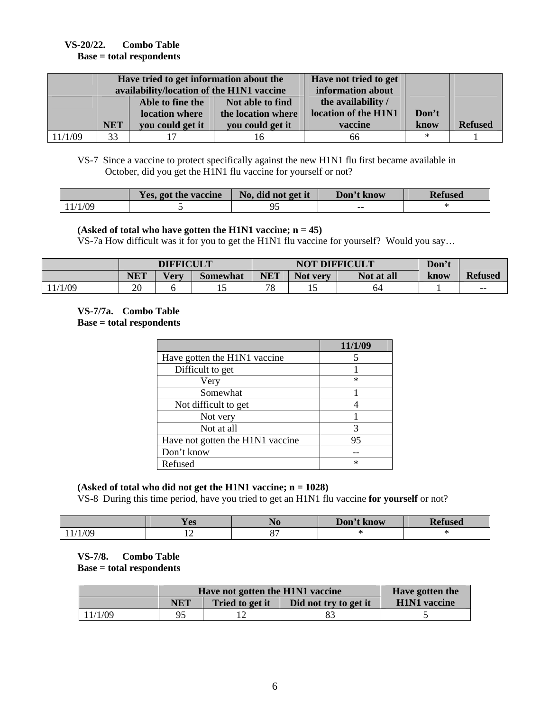#### **VS-20/22. Combo Table Base = total respondents**

|         |            | Have tried to get information about the<br>availability/location of the H1N1 vaccine | Have not tried to get<br>information about |                                            |       |                |
|---------|------------|--------------------------------------------------------------------------------------|--------------------------------------------|--------------------------------------------|-------|----------------|
|         |            | Able to fine the<br>location where                                                   | Not able to find<br>the location where     | the availability /<br>location of the H1N1 | Don't |                |
|         | <b>NET</b> | you could get it                                                                     | you could get it                           | vaccine                                    | know  | <b>Refused</b> |
| 11/1/09 | 33         |                                                                                      |                                            | 66                                         | ∗     |                |

 VS-7 Since a vaccine to protect specifically against the new H1N1 flu first became available in October, did you get the H1N1 flu vaccine for yourself or not?

|         | Yes, got the vaccine | No, did not get it | Don't know | Refused |
|---------|----------------------|--------------------|------------|---------|
| 11/1/09 |                      |                    | $- -$      |         |

#### **(Asked of total who have gotten the H1N1 vaccine; n = 45)**

VS-7a How difficult was it for you to get the H1N1 flu vaccine for yourself? Would you say…

|       | <b>DIFFICULT</b> |             |                 |            | <b>NOT DIFFICULT</b> |            |      |                |
|-------|------------------|-------------|-----------------|------------|----------------------|------------|------|----------------|
|       | <b>NET</b>       | <b>Very</b> | <b>Somewhat</b> | <b>NET</b> | Not very             | Not at all | know | <b>Refused</b> |
| /1/09 | 20               |             | ⊥ື              | 70         | ⊥J                   | 64         |      | $-$            |

#### **VS-7/7a. Combo Table Base = total respondents**

|                                  | 11/1/09 |
|----------------------------------|---------|
| Have gotten the H1N1 vaccine     |         |
| Difficult to get                 |         |
| Very                             | $\ast$  |
| Somewhat                         |         |
| Not difficult to get             |         |
| Not very                         |         |
| Not at all                       | 3       |
| Have not gotten the H1N1 vaccine | 95      |
| Don't know                       |         |
| Refused                          | $\ast$  |

## **(Asked of total who did not get the H1N1 vaccine; n = 1028)**

VS-8 During this time period, have you tried to get an H1N1 flu vaccine **for yourself** or not?

|            | אמ ⁄<br><b>TC2</b>       | Don't<br>t know | "sea |
|------------|--------------------------|-----------------|------|
| $\sqrt{0}$ | $\overline{\phantom{0}}$ |                 |      |

**VS-7/8. Combo Table Base = total respondents** 

|         |            | Have not gotten the H1N1 vaccine | Have gotten the       |                     |
|---------|------------|----------------------------------|-----------------------|---------------------|
|         | <b>NET</b> | Tried to get it                  | Did not try to get it | <b>H1N1</b> vaccine |
| 11/1/09 | 95         |                                  |                       |                     |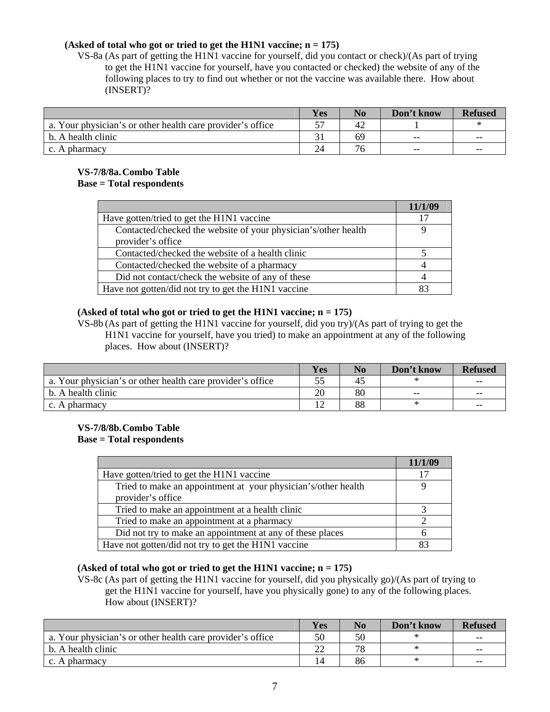#### **(Asked of total who got or tried to get the H1N1 vaccine; n = 175)**

 VS-8a (As part of getting the H1N1 vaccine for yourself, did you contact or check)/(As part of trying to get the H1N1 vaccine for yourself, have you contacted or checked) the website of any of the following places to try to find out whether or not the vaccine was available there. How about (INSERT)?

|                                                            | Yes | No | Don't know | <b>Refused</b> |
|------------------------------------------------------------|-----|----|------------|----------------|
| a. Your physician's or other health care provider's office |     | 42 |            |                |
| b. A health clinic                                         |     | 69 | $-$        | $- -$          |
| c. A pharmacy                                              | 24  | 76 | $-$        | $- -$          |

#### **VS-7/8/8a. Combo Table Base = Total respondents**

|                                                                | 11/1/09 |
|----------------------------------------------------------------|---------|
| Have gotten/tried to get the H1N1 vaccine                      | 17      |
| Contacted/checked the website of your physician's/other health |         |
| provider's office                                              |         |
| Contacted/checked the website of a health clinic               |         |
| Contacted/checked the website of a pharmacy                    |         |
| Did not contact/check the website of any of these              |         |
| Have not gotten/did not try to get the H1N1 vaccine            |         |

#### **(Asked of total who got or tried to get the H1N1 vaccine; n = 175)**

 VS-8b (As part of getting the H1N1 vaccine for yourself, did you try)/(As part of trying to get the H1N1 vaccine for yourself, have you tried) to make an appointment at any of the following places. How about (INSERT)?

|                                                            | Yes | No | Don't know | <b>Refused</b> |
|------------------------------------------------------------|-----|----|------------|----------------|
| a. Your physician's or other health care provider's office |     | 43 |            | $- -$          |
| b. A health clinic                                         | 20  | 80 | $- -$      | $- -$          |
| c. A pharmacy                                              |     | 88 | ∗          | $- -$          |

#### **VS-7/8/8b. Combo Table Base = Total respondents**

|                                                               | 11/1/09 |
|---------------------------------------------------------------|---------|
| Have gotten/tried to get the H1N1 vaccine                     |         |
| Tried to make an appointment at your physician's/other health |         |
| provider's office                                             |         |
| Tried to make an appointment at a health clinic               |         |
| Tried to make an appointment at a pharmacy                    |         |
| Did not try to make an appointment at any of these places     |         |
| Have not gotten/did not try to get the H1N1 vaccine           |         |

#### **(Asked of total who got or tried to get the H1N1 vaccine; n = 175)**

 VS-8c (As part of getting the H1N1 vaccine for yourself, did you physically go)/(As part of trying to get the H1N1 vaccine for yourself, have you physically gone) to any of the following places. How about (INSERT)?

|                                                            | Yes              | N <sub>0</sub> | Don't know | <b>Refused</b> |
|------------------------------------------------------------|------------------|----------------|------------|----------------|
| a. Your physician's or other health care provider's office | 50               | 50             |            | $- -$          |
| b. A health clinic                                         | $\mathbin{\sim}$ | 70             | ∗          | $- -$          |
| c. A pharmacy                                              |                  | 86             | ∗          | $- -$          |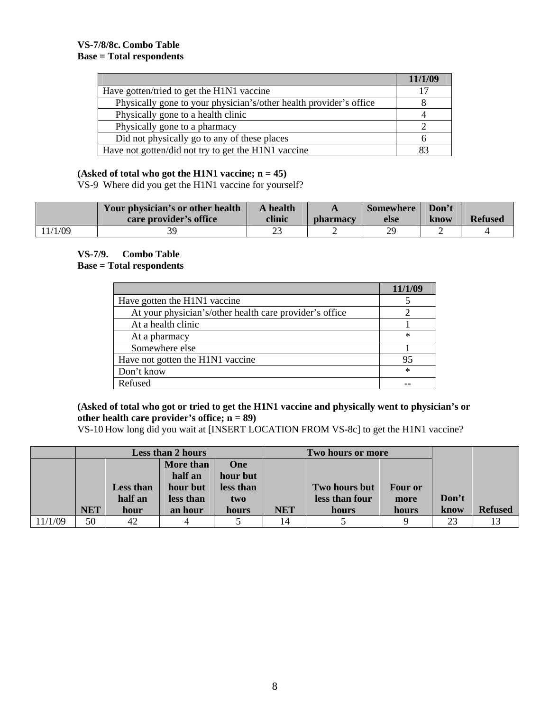|                                                                    | 11/1/09 |
|--------------------------------------------------------------------|---------|
| Have gotten/tried to get the H1N1 vaccine                          |         |
| Physically gone to your physician's/other health provider's office |         |
| Physically gone to a health clinic                                 |         |
| Physically gone to a pharmacy                                      |         |
| Did not physically go to any of these places                       |         |
| Have not gotten/did not try to get the H1N1 vaccine                |         |

#### **(Asked of total who got the H1N1 vaccine; n = 45)**

VS-9 Where did you get the H1N1 vaccine for yourself?

|         | Your physician's or other health<br>care provider's office | A health<br>clinic | <b>pharmacy</b> | <b>Somewhere</b><br>else | Don't<br>know | <b>Refused</b> |
|---------|------------------------------------------------------------|--------------------|-----------------|--------------------------|---------------|----------------|
| 11/1/09 | 30.                                                        |                    |                 | 29                       |               |                |

## **VS-7/9. Combo Table Base = Total respondents**

| Have gotten the H1N1 vaccine                            |        |
|---------------------------------------------------------|--------|
| At your physician's/other health care provider's office |        |
| At a health clinic                                      |        |
| At a pharmacy                                           | $\ast$ |
| Somewhere else                                          |        |
| Have not gotten the H1N1 vaccine                        | 95     |
| Don't know                                              | $\ast$ |
| Refused                                                 |        |

#### **(Asked of total who got or tried to get the H1N1 vaccine and physically went to physician's or other health care provider's office; n = 89)**

VS-10 How long did you wait at [INSERT LOCATION FROM VS-8c] to get the H1N1 vaccine?

|         | <b>Less than 2 hours</b> |                  |           | Two hours or more |            |                |         |       |                |
|---------|--------------------------|------------------|-----------|-------------------|------------|----------------|---------|-------|----------------|
|         |                          |                  | More than | One               |            |                |         |       |                |
|         |                          |                  | half an   | hour but          |            |                |         |       |                |
|         |                          | <b>Less than</b> | hour but  | less than         |            | Two hours but  | Four or |       |                |
|         |                          | half an          | less than | two               |            | less than four | more    | Don't |                |
|         | <b>NET</b>               | hour             | an hour   | hours             | <b>NET</b> | hours          | hours   | know  | <b>Refused</b> |
| 11/1/09 | 50                       | 42               |           |                   | 14         |                |         | 23    |                |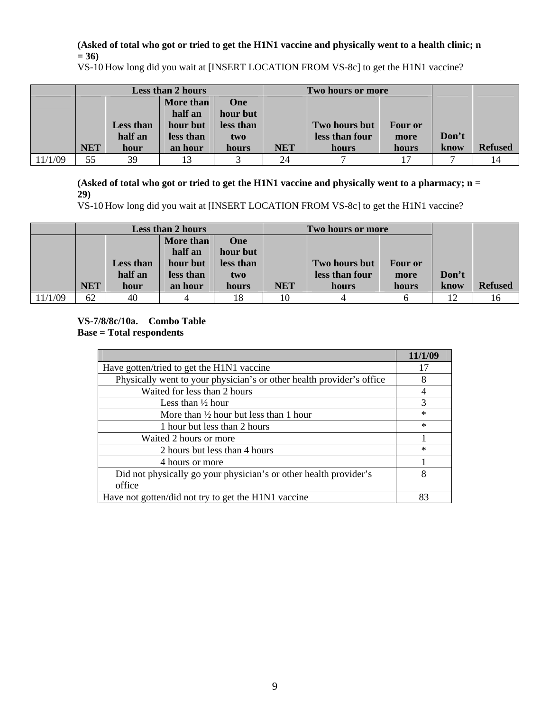### **(Asked of total who got or tried to get the H1N1 vaccine and physically went to a health clinic; n = 36)**

VS-10 How long did you wait at [INSERT LOCATION FROM VS-8c] to get the H1N1 vaccine?

|         | <b>Less than 2 hours</b> |                  |           | Two hours or more |            |                |                |       |                |
|---------|--------------------------|------------------|-----------|-------------------|------------|----------------|----------------|-------|----------------|
|         |                          |                  | More than | One               |            |                |                |       |                |
|         |                          |                  | half an   | hour but          |            |                |                |       |                |
|         |                          | <b>Less than</b> | hour but  | less than         |            | Two hours but  | <b>Four or</b> |       |                |
|         |                          | half an          | less than | two               |            | less than four | more           | Don't |                |
|         | <b>NET</b>               | hour             | an hour   | hours             | <b>NET</b> | hours          | hours          | know  | <b>Refused</b> |
| 11/1/09 | 55                       | 39               |           |                   | 24         |                | 17             |       |                |

**(Asked of total who got or tried to get the H1N1 vaccine and physically went to a pharmacy; n = 29)** 

VS-10 How long did you wait at [INSERT LOCATION FROM VS-8c] to get the H1N1 vaccine?

|         | Less than 2 hours |                  |           | Two hours or more |            |                |                |       |                |
|---------|-------------------|------------------|-----------|-------------------|------------|----------------|----------------|-------|----------------|
|         |                   |                  | More than | One               |            |                |                |       |                |
|         |                   |                  | half an   | hour but          |            |                |                |       |                |
|         |                   | <b>Less than</b> | hour but  | less than         |            | Two hours but  | <b>Four or</b> |       |                |
|         |                   | half an          | less than | two               |            | less than four | more           | Don't |                |
|         | <b>NET</b>        | hour             | an hour   | hours             | <b>NET</b> | hours          | hours          | know  | <b>Refused</b> |
| 11/1/09 | 62                | 40               |           | 18                | 10         |                |                |       | 10             |

## **VS-7/8/8c/10a. Combo Table Base = Total respondents**

|                                                                       | 11/1/09 |
|-----------------------------------------------------------------------|---------|
| Have gotten/tried to get the H1N1 vaccine                             |         |
| Physically went to your physician's or other health provider's office | 8       |
| Waited for less than 2 hours                                          |         |
| Less than $\frac{1}{2}$ hour                                          |         |
| More than $\frac{1}{2}$ hour but less than 1 hour                     | $\ast$  |
| 1 hour but less than 2 hours                                          | $\ast$  |
| Waited 2 hours or more                                                |         |
| 2 hours but less than 4 hours                                         | $\ast$  |
| 4 hours or more                                                       |         |
| Did not physically go your physician's or other health provider's     | 8       |
| office                                                                |         |
| Have not gotten/did not try to get the H1N1 vaccine                   | 83      |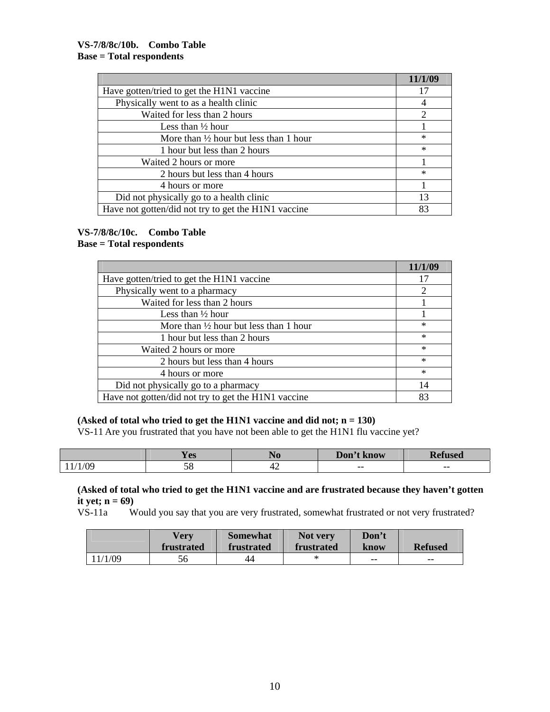|                                                     | 11/1/09                     |
|-----------------------------------------------------|-----------------------------|
| Have gotten/tried to get the H1N1 vaccine           |                             |
| Physically went to as a health clinic               |                             |
| Waited for less than 2 hours                        | $\mathcal{D}_{\mathcal{L}}$ |
| Less than $\frac{1}{2}$ hour                        |                             |
| More than $\frac{1}{2}$ hour but less than 1 hour   | $\ast$                      |
| 1 hour but less than 2 hours                        | $\ast$                      |
| Waited 2 hours or more                              |                             |
| 2 hours but less than 4 hours                       | $\ast$                      |
| 4 hours or more                                     |                             |
| Did not physically go to a health clinic            | 13                          |
| Have not gotten/did not try to get the H1N1 vaccine | 83                          |

#### **VS-7/8/8c/10c. Combo Table Base = Total respondents**

|                                                     | 11/1/09 |
|-----------------------------------------------------|---------|
| Have gotten/tried to get the H1N1 vaccine           | 17      |
| Physically went to a pharmacy                       |         |
| Waited for less than 2 hours                        |         |
| Less than $\frac{1}{2}$ hour                        |         |
| More than $\frac{1}{2}$ hour but less than 1 hour   | *       |
| 1 hour but less than 2 hours                        | $\ast$  |
| Waited 2 hours or more                              | $\ast$  |
| 2 hours but less than 4 hours                       | $\ast$  |
| 4 hours or more                                     | $\ast$  |
| Did not physically go to a pharmacy                 | 14      |
| Have not gotten/did not try to get the H1N1 vaccine | 83      |

## **(Asked of total who tried to get the H1N1 vaccine and did not; n = 130)**

VS-11 Are you frustrated that you have not been able to get the H1N1 flu vaccine yet?

|            | <b>The State</b><br>V QC<br>1C <sub>2</sub> | 1 I O | Don't<br>t know | n.<br>tused |
|------------|---------------------------------------------|-------|-----------------|-------------|
| $\sqrt{2}$ | $\overline{r}$<br>2 C                       | ਚ∠    | $- -$           | $- -$       |

# **(Asked of total who tried to get the H1N1 vaccine and are frustrated because they haven't gotten it yet;**  $n = 69$ )<br>VS-11a W

Would you say that you are very frustrated, somewhat frustrated or not very frustrated?

|          | Verv<br>frustrated | <b>Somewhat</b><br>frustrated | Not very<br>frustrated | Don't<br>know | <b>Refused</b> |
|----------|--------------------|-------------------------------|------------------------|---------------|----------------|
| ' 1/1/09 | 56                 | 44                            |                        | $- -$         | $-$            |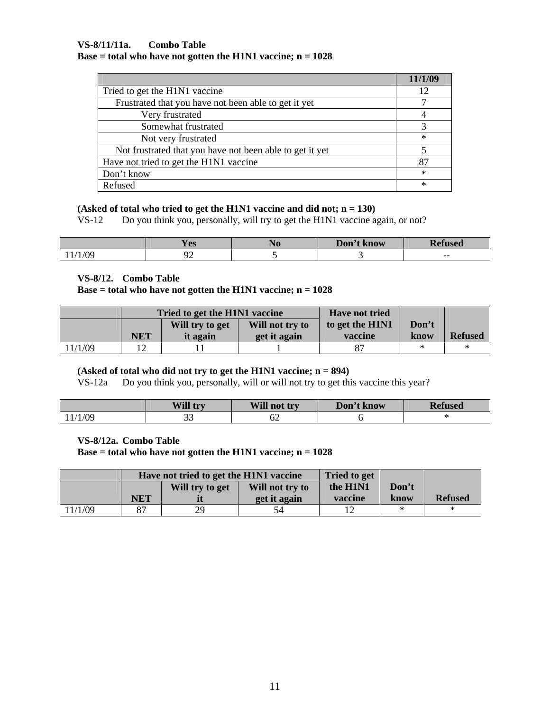#### **VS-8/11/11a. Combo Table Base = total who have not gotten the H1N1 vaccine; n = 1028**

|                                                          | 11/1/09 |
|----------------------------------------------------------|---------|
| Tried to get the H1N1 vaccine                            | 12      |
| Frustrated that you have not been able to get it yet     |         |
| Very frustrated                                          |         |
| Somewhat frustrated                                      |         |
| Not very frustrated                                      | ∗       |
| Not frustrated that you have not been able to get it yet |         |
| Have not tried to get the H1N1 vaccine                   | 87      |
| Don't know                                               | ∗       |
| Refused                                                  | ×       |

#### **(Asked of total who tried to get the H1N1 vaccine and did not; n = 130)**

VS-12 Do you think you, personally, will try to get the H1N1 vaccine again, or not?

|                | --<br>$\alpha$<br>$\mathbf{L}$ LD | JU | Don't l<br>know | m.<br>1000 |
|----------------|-----------------------------------|----|-----------------|------------|
| $\bigcap$<br>v | $\sim$<br>-                       |    |                 | --         |

#### **VS-8/12. Combo Table**

#### **Base = total who have not gotten the H1N1 vaccine; n = 1028**

|         |     | Tried to get the H1N1 vaccine |                 | <b>Have not tried</b> |       |                |
|---------|-----|-------------------------------|-----------------|-----------------------|-------|----------------|
|         |     | Will try to get               | Will not try to | to get the H1N1       | Don't |                |
|         | NET | it again                      | get it again    | vaccine               | know  | <b>Refused</b> |
| 11/1/09 |     |                               |                 |                       |       |                |

#### **(Asked of total who did not try to get the H1N1 vaccine; n = 894)**

VS-12a Do you think you, personally, will or will not try to get this vaccine this year?

|       | Will try     | Will<br>not try | Don't know | D.f.<br><b>ISEQ</b> |
|-------|--------------|-----------------|------------|---------------------|
| ′1/09 | $\sim$<br>-- | ∟ب<br>$\sim$    |            |                     |

#### **VS-8/12a. Combo Table**

 **Base = total who have not gotten the H1N1 vaccine; n = 1028** 

|         |     | Have not tried to get the H1N1 vaccine |                 | <b>Tried to get</b> |       |                |
|---------|-----|----------------------------------------|-----------------|---------------------|-------|----------------|
|         |     | Will try to get                        | Will not try to | the H1N1            | Don't |                |
|         | NET |                                        | get it again    | vaccine             | know  | <b>Refused</b> |
| 11/1/09 | 87  | 29                                     | 54              |                     |       | $\ast$         |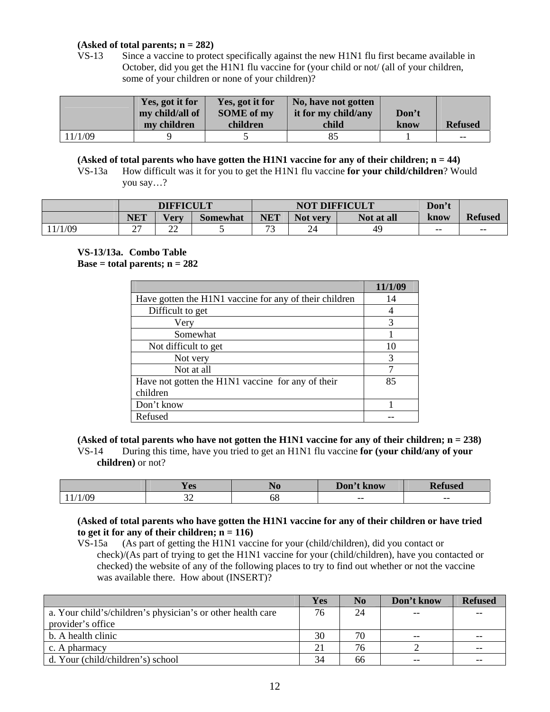#### **(Asked of total parents; n = 282)**

 VS-13 Since a vaccine to protect specifically against the new H1N1 flu first became available in October, did you get the H1N1 flu vaccine for (your child or not/ (all of your children, some of your children or none of your children)?

|         | Yes, got it for | Yes, got it for   | No, have not gotten |       |                |
|---------|-----------------|-------------------|---------------------|-------|----------------|
|         | my child/all of | <b>SOME</b> of my | it for my child/any | Don't |                |
|         | my children     | children          | child               | know  | <b>Refused</b> |
| 11/1/09 |                 |                   |                     |       | $- -$          |

**(Asked of total parents who have gotten the H1N1 vaccine for any of their children; n = 44)**

VS-13a How difficult was it for you to get the H1N1 flu vaccine **for your child/children**? Would you say…?

|        | <b>DIFFICULT</b> |             |          | <b>NOT DIFFICULT</b>     |                    |            | Don't |                |
|--------|------------------|-------------|----------|--------------------------|--------------------|------------|-------|----------------|
|        | <b>NET</b>       | <b>Very</b> | Somewhat | NET                      | <b>Not</b><br>very | Not at all | know  | <b>Refused</b> |
| 1/1/09 | ^¬<br>∸ '        | nη<br>∼     |          | $\overline{\phantom{a}}$ |                    | 49         | $- -$ | $- -$          |

#### **VS-13/13a. Combo Table Base = total parents;**  $n = 282$

|                                                        | 11/1/09 |
|--------------------------------------------------------|---------|
| Have gotten the H1N1 vaccine for any of their children | 14      |
| Difficult to get                                       |         |
| Very                                                   | 3       |
| Somewhat                                               |         |
| Not difficult to get                                   | 10      |
| Not very                                               | 3       |
| Not at all                                             |         |
| Have not gotten the H1N1 vaccine for any of their      | 85      |
| children                                               |         |
| Don't know                                             |         |
| Refused                                                |         |

**(Asked of total parents who have not gotten the H1N1 vaccine for any of their children; n = 238)**  VS-14 During this time, have you tried to get an H1N1 flu vaccine **for (your child/any of your children)** or not?

|     | $\Omega$<br><b>IC<sub>2</sub></b> | <b>140</b> | Don't<br>know | –<br>1UJ |
|-----|-----------------------------------|------------|---------------|----------|
| /09 | $\sim$<br>ىر                      | υo         | $- -$         | $- -$    |

#### **(Asked of total parents who have gotten the H1N1 vaccine for any of their children or have tried**  to get it for any of their children;  $n = 116$ )

 VS-15a (As part of getting the H1N1 vaccine for your (child/children), did you contact or check)/(As part of trying to get the H1N1 vaccine for your (child/children), have you contacted or checked) the website of any of the following places to try to find out whether or not the vaccine was available there. How about (INSERT)?

|                                                             | Yes | N <sub>0</sub> | Don't know | <b>Refused</b> |
|-------------------------------------------------------------|-----|----------------|------------|----------------|
| a. Your child's/children's physician's or other health care | 76  | 24             | $- -$      | $- -$          |
| provider's office                                           |     |                |            |                |
| b. A health clinic                                          | 30  | 70             | $- -$      |                |
| c. A pharmacy                                               | 21  | 76             |            | $- -$          |
| d. Your (child/children's) school                           | 34  | 66             | $- -$      | $- -$          |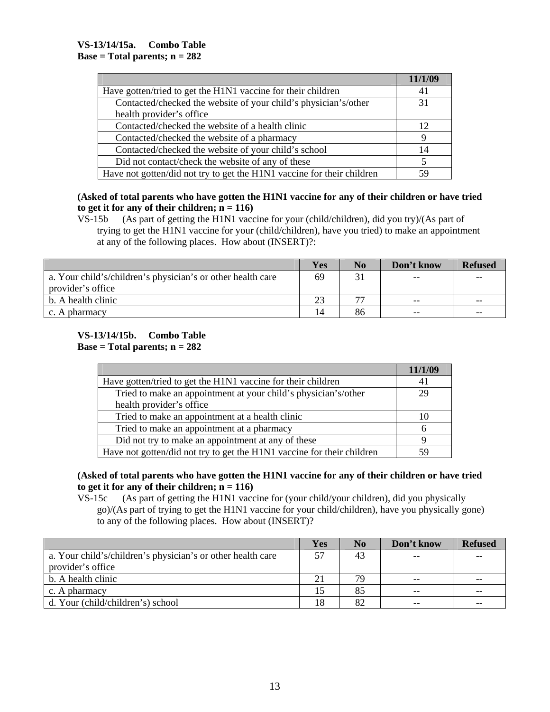|                                                                        | 11/1/09 |
|------------------------------------------------------------------------|---------|
| Have gotten/tried to get the H1N1 vaccine for their children           | 41      |
| Contacted/checked the website of your child's physician's/other        | 31      |
| health provider's office.                                              |         |
| Contacted/checked the website of a health clinic                       | 12      |
| Contacted/checked the website of a pharmacy                            |         |
| Contacted/checked the website of your child's school                   | 14      |
| Did not contact/check the website of any of these                      |         |
| Have not gotten/did not try to get the H1N1 vaccine for their children |         |

**(Asked of total parents who have gotten the H1N1 vaccine for any of their children or have tried**  to get it for any of their children;  $n = 116$ )

 VS-15b (As part of getting the H1N1 vaccine for your (child/children), did you try)/(As part of trying to get the H1N1 vaccine for your (child/children), have you tried) to make an appointment at any of the following places. How about (INSERT)?:

|                                                             | Yes | No                       | Don't know | <b>Refused</b> |
|-------------------------------------------------------------|-----|--------------------------|------------|----------------|
| a. Your child's/children's physician's or other health care | 69  |                          | $- -$      | $- -$          |
| provider's office                                           |     |                          |            |                |
| b. A health clinic                                          | 23  | $\overline{\phantom{m}}$ | $- -$      | $- -$          |
| c. A pharmacy                                               |     | 86                       | $- -$      | $- -$          |

#### **VS-13/14/15b. Combo Table Base = Total parents; n = 282**

|                                                                        | 11/1/09 |
|------------------------------------------------------------------------|---------|
| Have gotten/tried to get the H1N1 vaccine for their children           | 4 I     |
| Tried to make an appointment at your child's physician's/other         | 29      |
| health provider's office.                                              |         |
| Tried to make an appointment at a health clinic                        | 10      |
| Tried to make an appointment at a pharmacy                             | h       |
| Did not try to make an appointment at any of these                     |         |
| Have not gotten/did not try to get the H1N1 vaccine for their children | 59      |

## **(Asked of total parents who have gotten the H1N1 vaccine for any of their children or have tried**  to get it for any of their children;  $n = 116$ )

 VS-15c (As part of getting the H1N1 vaccine for (your child/your children), did you physically go)/(As part of trying to get the H1N1 vaccine for your child/children), have you physically gone) to any of the following places. How about (INSERT)?

|                                                             | Yes | N <sub>0</sub> | Don't know | <b>Refused</b> |
|-------------------------------------------------------------|-----|----------------|------------|----------------|
| a. Your child's/children's physician's or other health care | 57  | 43             | $- -$      | $- -$          |
| provider's office                                           |     |                |            |                |
| b. A health clinic                                          | 21  | 79             | $- -$      | $- -$          |
| c. A pharmacy                                               |     | 85             | $- -$      | $- -$          |
| d. Your (child/children's) school                           | 18  | 82             | $- -$      | $- -$          |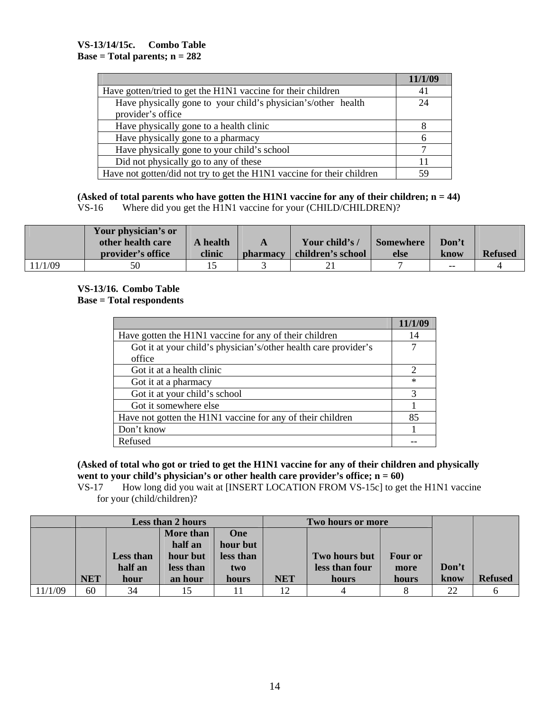|                                                                        | 11/1/09 |
|------------------------------------------------------------------------|---------|
| Have gotten/tried to get the H1N1 vaccine for their children           | 41      |
| Have physically gone to your child's physician's/other health          | 24      |
| provider's office                                                      |         |
| Have physically gone to a health clinic                                |         |
| Have physically gone to a pharmacy                                     | h       |
| Have physically gone to your child's school                            |         |
| Did not physically go to any of these                                  |         |
| Have not gotten/did not try to get the H1N1 vaccine for their children |         |

**(Asked of total parents who have gotten the H1N1 vaccine for any of their children; n = 44)**  VS-16 Where did you get the H1N1 vaccine for your (CHILD/CHILDREN)?

|         | Your physician's or |          |                 |                   |                  |       |                |
|---------|---------------------|----------|-----------------|-------------------|------------------|-------|----------------|
|         | other health care   | A health | A               | Your child's /    | <b>Somewhere</b> | Don't |                |
|         | provider's office   | clinic   | <i>bharmacy</i> | children's school | else             | know  | <b>Refused</b> |
| 11/1/09 | 50                  |          |                 | ∠                 |                  | $- -$ |                |

#### **VS-13/16. Combo Table Base = Total respondents**

|                                                                 | 11/1/09                     |
|-----------------------------------------------------------------|-----------------------------|
| Have gotten the H1N1 vaccine for any of their children          | 14                          |
| Got it at your child's physician's/other health care provider's |                             |
| office                                                          |                             |
| Got it at a health clinic                                       | $\mathcal{D}_{\mathcal{A}}$ |
| Got it at a pharmacy                                            | $\ast$                      |
| Got it at your child's school                                   | 3                           |
| Got it somewhere else                                           |                             |
| Have not gotten the H1N1 vaccine for any of their children      | 85                          |
| Don't know                                                      |                             |
| Refused                                                         |                             |

**(Asked of total who got or tried to get the H1N1 vaccine for any of their children and physically**  went to your child's physician's or other health care provider's office;  $n = 60$ )

 VS-17 How long did you wait at [INSERT LOCATION FROM VS-15c] to get the H1N1 vaccine for your (child/children)?

|         |            |                             | <b>Less than 2 hours</b>                      |                                            | Two hours or more |                                 |                        |       |                |
|---------|------------|-----------------------------|-----------------------------------------------|--------------------------------------------|-------------------|---------------------------------|------------------------|-------|----------------|
|         |            | <b>Less than</b><br>half an | More than<br>half an<br>hour but<br>less than | <b>One</b><br>hour but<br>less than<br>two |                   | Two hours but<br>less than four | <b>Four or</b><br>more | Don't |                |
|         | <b>NET</b> | hour                        | an hour                                       | hours                                      | <b>NET</b>        | hours                           | hours                  | know  | <b>Refused</b> |
| 11/1/09 | 60         | 34                          |                                               |                                            |                   |                                 |                        | 22    |                |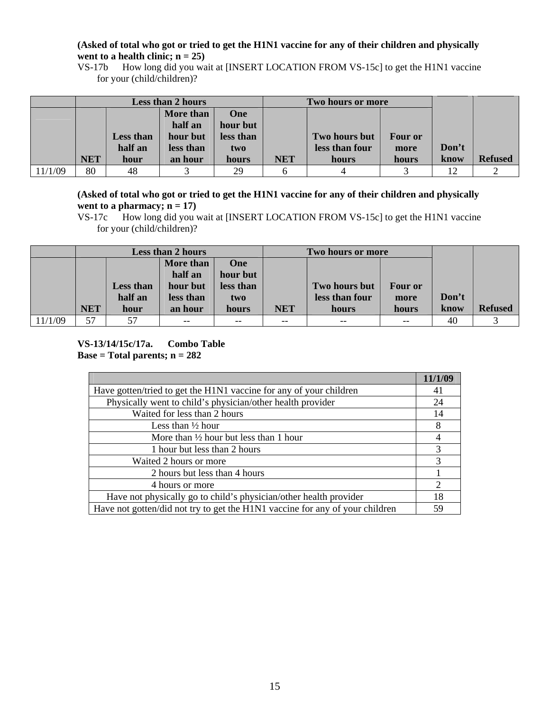#### **(Asked of total who got or tried to get the H1N1 vaccine for any of their children and physically**  went to a health clinic;  $n = 25$ )

 VS-17b How long did you wait at [INSERT LOCATION FROM VS-15c] to get the H1N1 vaccine for your (child/children)?

|         |            | <b>Less than 2 hours</b> |           |           | Two hours or more |                |                |       |                |
|---------|------------|--------------------------|-----------|-----------|-------------------|----------------|----------------|-------|----------------|
|         |            |                          | More than | One       |                   |                |                |       |                |
|         |            |                          | half an   | hour but  |                   |                |                |       |                |
|         |            | <b>Less than</b>         | hour but  | less than |                   | Two hours but  | <b>Four or</b> |       |                |
|         |            | half an                  | less than | two       |                   | less than four | more           | Don't |                |
|         | <b>NET</b> | hour                     | an hour   | hours     | <b>NET</b>        | hours          | hours          | know  | <b>Refused</b> |
| 11/1/09 | 80         | 48                       |           | 29        |                   |                |                | 12    |                |

**(Asked of total who got or tried to get the H1N1 vaccine for any of their children and physically**  went to a pharmacy;  $n = 17$ )

 VS-17c How long did you wait at [INSERT LOCATION FROM VS-15c] to get the H1N1 vaccine for your (child/children)?

|         | Less than 2 hours |                  |           | Two hours or more |            |                |                |       |                |
|---------|-------------------|------------------|-----------|-------------------|------------|----------------|----------------|-------|----------------|
|         |                   |                  | More than | One               |            |                |                |       |                |
|         |                   |                  | half an   | hour but          |            |                |                |       |                |
|         |                   | <b>Less than</b> | hour but  | less than         |            | Two hours but  | <b>Four or</b> |       |                |
|         |                   | half an          | less than | two               |            | less than four | more           | Don't |                |
|         | <b>NET</b>        | hour             | an hour   | hours             | <b>NET</b> | hours          | hours          | know  | <b>Refused</b> |
| 11/1/09 | 57                | 57               | $- -$     | $- -$             | $- -$      | $- -$          | $- -$          | 40    |                |

**VS-13/14/15c/17a. Combo Table Base = Total parents; n = 282** 

|                                                                              | 11/1/09        |
|------------------------------------------------------------------------------|----------------|
| Have gotten/tried to get the H1N1 vaccine for any of your children           | 41             |
| Physically went to child's physician/other health provider                   | 24             |
| Waited for less than 2 hours                                                 | 14             |
| Less than $\frac{1}{2}$ hour                                                 | 8              |
| More than $\frac{1}{2}$ hour but less than 1 hour                            | 4              |
| 1 hour but less than 2 hours                                                 | 3              |
| Waited 2 hours or more                                                       | 3              |
| 2 hours but less than 4 hours                                                |                |
| 4 hours or more                                                              | $\overline{2}$ |
| Have not physically go to child's physician/other health provider            | 18             |
| Have not gotten/did not try to get the H1N1 vaccine for any of your children | 59             |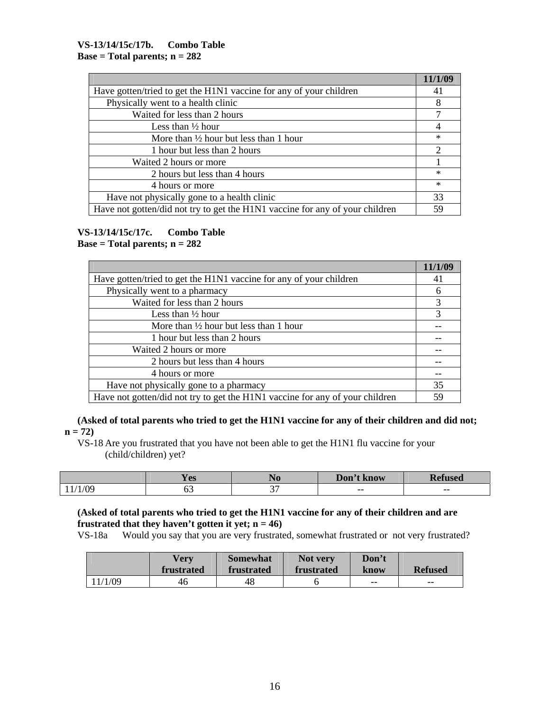|                                                                              | 11/1/09        |
|------------------------------------------------------------------------------|----------------|
| Have gotten/tried to get the H1N1 vaccine for any of your children           | 41             |
| Physically went to a health clinic                                           | 8              |
| Waited for less than 2 hours                                                 | 7              |
| Less than $\frac{1}{2}$ hour                                                 | 4              |
| More than $\frac{1}{2}$ hour but less than 1 hour                            | $\ast$         |
| 1 hour but less than 2 hours                                                 | $\overline{2}$ |
| Waited 2 hours or more                                                       |                |
| 2 hours but less than 4 hours                                                | $\ast$         |
| 4 hours or more                                                              | $\ast$         |
| Have not physically gone to a health clinic                                  | 33             |
| Have not gotten/did not try to get the H1N1 vaccine for any of your children | 59             |

#### **VS-13/14/15c/17c. Combo Table Base = Total parents; n = 282**

|                                                                              | 11/1/09 |
|------------------------------------------------------------------------------|---------|
| Have gotten/tried to get the H1N1 vaccine for any of your children           | 41      |
| Physically went to a pharmacy                                                | 6       |
| Waited for less than 2 hours                                                 | 3       |
| Less than $\frac{1}{2}$ hour                                                 | 3       |
| More than $\frac{1}{2}$ hour but less than 1 hour                            |         |
| 1 hour but less than 2 hours                                                 |         |
| Waited 2 hours or more                                                       |         |
| 2 hours but less than 4 hours                                                |         |
| 4 hours or more                                                              |         |
| Have not physically gone to a pharmacy                                       | 35      |
| Have not gotten/did not try to get the H1N1 vaccine for any of your children | 59      |

**(Asked of total parents who tried to get the H1N1 vaccine for any of their children and did not; n = 72)**

 VS-18 Are you frustrated that you have not been able to get the H1N1 flu vaccine for your (child/children) yet?

|            | <b>The State</b><br>V AC<br>1C <sub>2</sub> | <b>TAN</b> | Don't'<br>know | -<br>sed |
|------------|---------------------------------------------|------------|----------------|----------|
| $\sqrt{2}$ | ັບ                                          | $\sim$     | $- -$          | $- -$    |

## **(Asked of total parents who tried to get the H1N1 vaccine for any of their children and are frustrated that they haven't gotten it yet;**  $n = 46$ **)**

VS-18a Would you say that you are very frustrated, somewhat frustrated or not very frustrated?

|          | <b>Verv</b><br>frustrated | <b>Somewhat</b><br>frustrated | Not very<br>frustrated | Don't<br>know | <b>Refused</b> |
|----------|---------------------------|-------------------------------|------------------------|---------------|----------------|
| . 1/1/09 | 46                        | 48                            |                        | $- -$         | $- -$          |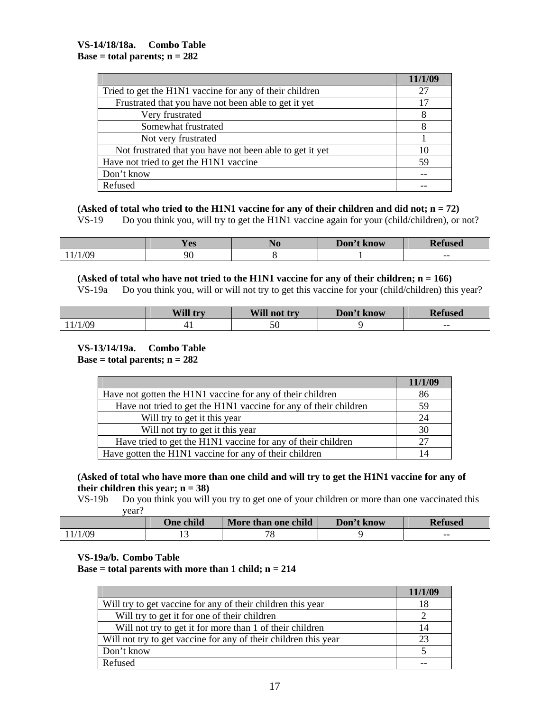|                                                          | 11/1/09 |
|----------------------------------------------------------|---------|
| Tried to get the H1N1 vaccine for any of their children  | 27      |
| Frustrated that you have not been able to get it yet     |         |
| Very frustrated                                          |         |
| Somewhat frustrated                                      |         |
| Not very frustrated                                      |         |
| Not frustrated that you have not been able to get it yet |         |
| Have not tried to get the H1N1 vaccine                   | 59      |
| Don't know                                               |         |
| Refused                                                  |         |

**(Asked of total who tried to the H1N1 vaccine for any of their children and did not; n = 72)**

VS-19 Do you think you, will try to get the H1N1 vaccine again for your (child/children), or not?

|     | $-1$<br><b>Y</b> es | Don't !<br>/ know | D.<br>$\bullet$<br><b>sea</b> |
|-----|---------------------|-------------------|-------------------------------|
| /09 | 90                  |                   | $- -$                         |

**(Asked of total who have not tried to the H1N1 vaccine for any of their children; n = 166)**

VS-19a Do you think you, will or will not try to get this vaccine for your (child/children) this year?

|     | Will try | Will not try | Don't know | T.<br>Kefused |
|-----|----------|--------------|------------|---------------|
| /09 |          |              |            | $- -$         |

#### **VS-13/14/19a. Combo Table Base = total parents;**  $n = 282$

|                                                                  | 11/1/09 |
|------------------------------------------------------------------|---------|
| Have not gotten the H1N1 vaccine for any of their children       | 86      |
| Have not tried to get the H1N1 vaccine for any of their children | 59      |
| Will try to get it this year                                     | 24      |
| Will not try to get it this year                                 | 30      |
| Have tried to get the H1N1 vaccine for any of their children     |         |
| Have gotten the H1N1 vaccine for any of their children           |         |

#### **(Asked of total who have more than one child and will try to get the H1N1 vaccine for any of their children this year; n = 38)**

 VS-19b Do you think you will you try to get one of your children or more than one vaccinated this year?

|         | <b>One child</b> | More than one child | Don't know | <b>Refused</b> |
|---------|------------------|---------------------|------------|----------------|
| 11/1/09 | . .              | пc<br>O             |            | $- -$          |

#### **VS-19a/b. Combo Table**

 **Base = total parents with more than 1 child; n = 214** 

|                                                                 | 11/1/09 |
|-----------------------------------------------------------------|---------|
| Will try to get vaccine for any of their children this year     | IХ      |
| Will try to get it for one of their children                    |         |
| Will not try to get it for more than 1 of their children        | 14      |
| Will not try to get vaccine for any of their children this year |         |
| Don't know                                                      |         |
| Refused                                                         |         |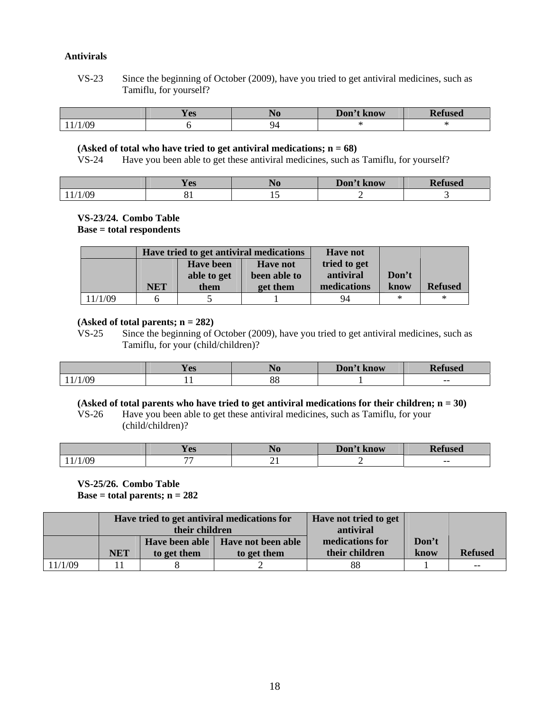#### **Antivirals**

 VS-23 Since the beginning of October (2009), have you tried to get antiviral medicines, such as Tamiflu, for yourself?

|            | --<br><b>Y</b> es | 1 J O | Don't know | D.<br>rfused<br>M |
|------------|-------------------|-------|------------|-------------------|
| $\sqrt{2}$ |                   | 44    |            |                   |

#### **(Asked of total who have tried to get antiviral medications; n = 68)**

VS-24 Have you been able to get these antiviral medicines, such as Tamiflu, for yourself?

|     | ഹ<br>$\bf{1}$ LD | 140 | Don't know | –<br>ısed |
|-----|------------------|-----|------------|-----------|
| 0۶/ | O L              | ∸   |            |           |

## **VS-23/24. Combo Table**

 **Base = total respondents** 

|         | Have tried to get antiviral medications |                  |                 | <b>Have not</b> |        |                |
|---------|-----------------------------------------|------------------|-----------------|-----------------|--------|----------------|
|         |                                         | <b>Have been</b> | <b>Have not</b> | tried to get    |        |                |
|         |                                         | able to get      | been able to    | antiviral       | Don't  |                |
|         | <b>NET</b>                              | them             | get them        | medications     | know   | <b>Refused</b> |
| 11/1/09 |                                         |                  |                 | 94              | $\ast$ | $\ast$         |

#### **(Asked of total parents; n = 282)**

 VS-25 Since the beginning of October (2009), have you tried to get antiviral medicines, such as Tamiflu, for your (child/children)?

|     | <b>Y</b> es | . .           | Don'<br>know |       |
|-----|-------------|---------------|--------------|-------|
| /09 | . .         | റെ<br>$\circ$ |              | $- -$ |

#### **(Asked of total parents who have tried to get antiviral medications for their children; n = 30)**

 VS-26 Have you been able to get these antiviral medicines, such as Tamiflu, for your (child/children)?

|            | <b>Y</b> es              | 1 J U | Don't<br>G know | ┳<br>ısed |
|------------|--------------------------|-------|-----------------|-----------|
| $1/\Omega$ | $\overline{\phantom{a}}$ | --    |                 | $- -$     |

 **VS-25/26. Combo Table Base = total parents; n = 282** 

|         | Have tried to get antiviral medications for |             |                                     | Have not tried to get |       |                |
|---------|---------------------------------------------|-------------|-------------------------------------|-----------------------|-------|----------------|
|         | their children                              |             |                                     | antiviral             |       |                |
|         |                                             |             | Have been able   Have not been able | medications for       | Don't |                |
|         | <b>NET</b>                                  | to get them | to get them                         | their children        | know  | <b>Refused</b> |
| 11/1/09 |                                             |             |                                     | 88                    |       | $- -$          |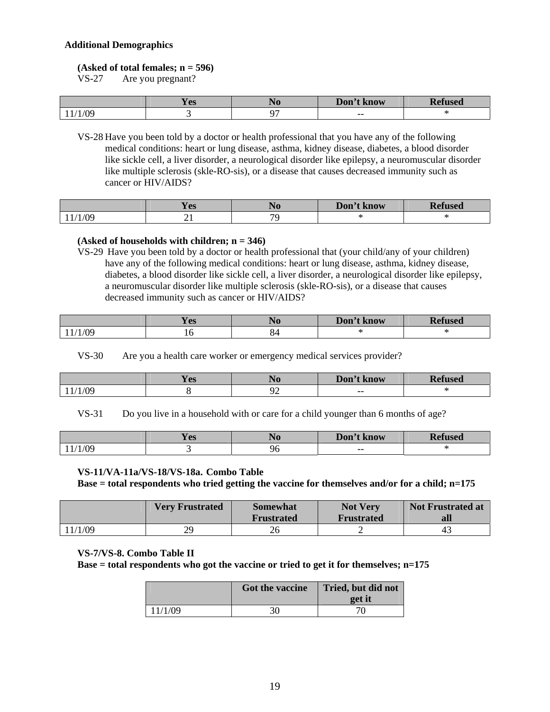#### **Additional Demographics**

#### **(Asked of total females; n = 596)**

VS-27 Are you pregnant?

|     | יממ⁄<br>1C2 | <b>TAA</b> | Don't !<br>$\epsilon$ know | D<br>usea |
|-----|-------------|------------|----------------------------|-----------|
| /nc |             | ∼          | $- -$                      |           |

 VS-28 Have you been told by a doctor or health professional that you have any of the following medical conditions: heart or lung disease, asthma, kidney disease, diabetes, a blood disorder like sickle cell, a liver disorder, a neurological disorder like epilepsy, a neuromuscular disorder like multiple sclerosis (skle-RO-sis), or a disease that causes decreased immunity such as cancer or HIV/AIDS?

|     | $-1$<br>אמ ∨<br><b>TG2</b> | <b>110</b>               | Don't<br>know | D.<br>used |
|-----|----------------------------|--------------------------|---------------|------------|
| /09 | - -                        | $\overline{\phantom{a}}$ |               |            |

#### **(Asked of households with children; n = 346)**

 VS-29 Have you been told by a doctor or health professional that (your child/any of your children) have any of the following medical conditions: heart or lung disease, asthma, kidney disease, diabetes, a blood disorder like sickle cell, a liver disorder, a neurological disorder like epilepsy, a neuromuscular disorder like multiple sclerosis (skle-RO-sis), or a disease that causes decreased immunity such as cancer or HIV/AIDS?

|        | <b>Y</b> es | 14 O | Don't<br>know            | <b>Refused</b> |
|--------|-------------|------|--------------------------|----------------|
| 1/1/09 | 10          | ∼    | $\overline{\phantom{a}}$ |                |

VS-30 Are you a health care worker or emergency medical services provider?

|               | <b>The State of State</b><br><b>Y</b> es |   | Don't<br>t know | <b>used</b> |
|---------------|------------------------------------------|---|-----------------|-------------|
| (1/1)<br>,,,, |                                          | - | $- -$           |             |

VS-31 Do you live in a household with or care for a child younger than 6 months of age?

|             | א∩ ש<br>T C2 | Don't know |  |
|-------------|--------------|------------|--|
| $\bigwedge$ |              | $- -$      |  |

#### **VS-11/VA-11a/VS-18/VS-18a. Combo Table**

 **Base = total respondents who tried getting the vaccine for themselves and/or for a child; n=175** 

|         | <b>Very Frustrated</b> | <b>Somewhat</b><br><b>Frustrated</b> | <b>Not Very</b><br><b>Frustrated</b> | <b>Not Frustrated at</b><br>all |
|---------|------------------------|--------------------------------------|--------------------------------------|---------------------------------|
| 11/1/09 | $\gamma$<br>ر ر        | 26                                   | ∽                                    | 43                              |

#### **VS-7/VS-8. Combo Table II**

 **Base = total respondents who got the vaccine or tried to get it for themselves; n=175** 

|         | Got the vaccine | Tried, but did not<br>get it |
|---------|-----------------|------------------------------|
| 11/1/09 | 30              |                              |